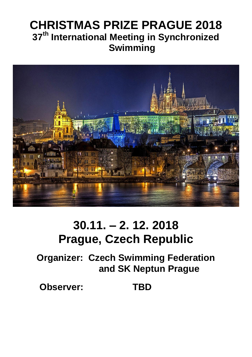### **CHRISTMAS PRIZE PRAGUE 2018 37 th International Meeting in Synchronized Swimming**



## **30.11. – 2. 12. 2018 Prague, Czech Republic**

**Organizer: Czech Swimming Federation and SK Neptun Prague**

 **Observer: TBD**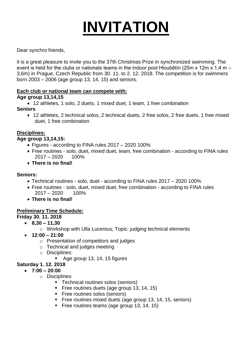# **INVITATION**

Dear synchro friends,

it is a great pleasure to invite you to the 37th Christmas Prize in synchronized swimming. The event is held for the clubs or nationals teams in the indoor pool Hloubětín (25m x 12m x 1,4 m – 3,6m) in Prague, Czech Republic from 30. 11. to 2. 12. 2018. The competition is for swimmers born 2003 – 2006 (age group 13, 14, 15) and seniors.

#### **Each club or national team can compete with:**

#### **Age group 13,14,15**

12 athletes, 1 solo, 2 duets, 1 mixed duet, 1 team, 1 free combination

#### **Seniors**

 12 athletes, 2 technical solos, 2 technical duets, 2 free solos, 2 free duets, 1 free mixed duet, 1 free combination

#### **Disciplines:**

#### **Age group 13,14,15:**

- Figures according to FINA rules 2017 2020 100%
- Free routines solo, duet, mixed duet, team, free combination according to FINA rules 2017 – 2020 100%
- **There is no final!**

#### **Seniors:**

- Technical routines solo, duet according to FINA rules 2017 2020 100%
- Free routines solo, duet, mixed duet, free combination according to FINA rules  $2017 - 2020$  100%
- **There is no final!**

#### **Preliminary Time Schedule:**

#### **Friday 30. 11. 2018**

- **8,30 – 11,30** 
	- o Workshop with Ulla Lucenius; Topic: judging technical elements
- **12:00 – 21:00** 
	- o Presentation of competitors and judges
	- o Technical and judges meeting o Disciplines:
- Age group 13, 14, 15 figures

#### **Saturday 1. 12. 2018**

- **7:00 – 20:00** 
	- o Disciplines:
		- Technical routines solos (seniors)
		- Free routines duets (age group 13, 14, 15)
		- **Free routines solos (seniors)**
		- Free routines mixed duets (age group 13, 14, 15, seniors)
		- Free routines teams (age group 13, 14, 15)